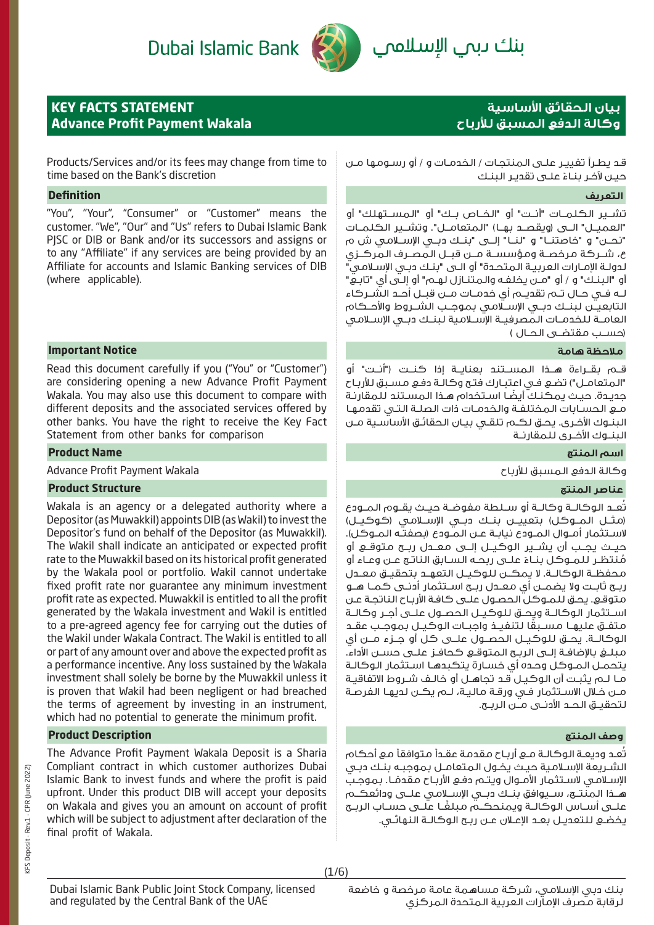# Dubai Islamic Bank



# بنك ىبمي الإسلاممي

## **KEY FACTS STATEMENT Advance Profit Payment Wakala**

# **بيان الحقائق األساسية وكالة الدفع المسبق لألرباح**

Products/Services and/or its fees may change from time to time based on the Bank's discretion

### **التعريف Definition**

"You", "Your", "Consumer" or "Customer" means the customer. "We", "Our" and "Us" refers to Dubai Islamic Bank PJSC or DIB or Bank and/or its successors and assigns or to any "Affiliate" if any services are being provided by an Affiliate for accounts and Islamic Banking services of DIB (where applicable).

### **مالحظة هامة Notice Important**

Read this document carefully if you ("You" or "Customer") are considering opening a new Advance Profit Payment Wakala. You may also use this document to compare with different deposits and the associated services offered by other banks. You have the right to receive the Key Fact Statement from other banks for comparison

### **اسم المنتج Name Product**

وكالة الدفع المسبق لألرباح Wakala Payment Profit Advance

### **عناصر المنتج Structure Product**

Wakala is an agency or a delegated authority where a Depositor (as Muwakkil) appoints DIB (as Wakil) to invest the Depositor's fund on behalf of the Depositor (as Muwakkil). The Wakil shall indicate an anticipated or expected profit rate to the Muwakkil based on its historical profit generated by the Wakala pool or portfolio. Wakil cannot undertake fixed profit rate nor guarantee any minimum investment profit rate as expected. Muwakkil is entitled to all the profit generated by the Wakala investment and Wakil is entitled to a pre-agreed agency fee for carrying out the duties of the Wakil under Wakala Contract. The Wakil is entitled to all or part of any amount over and above the expected profit as a performance incentive. Any loss sustained by the Wakala investment shall solely be borne by the Muwakkil unless it is proven that Wakil had been negligent or had breached the terms of agreement by investing in an instrument, which had no potential to generate the minimum profit.

### **وصف المنتج Description Product**

The Advance Profit Payment Wakala Deposit is a Sharia Compliant contract in which customer authorizes Dubai Islamic Bank to invest funds and where the profit is paid upfront. Under this product DIB will accept your deposits on Wakala and gives you an amount on account of profit which will be subject to adjustment after declaration of the final profit of Wakala.

قـد يطـرأ تغييـر علـى المنتجـات / الخدمـات و / أو رسـومها مـن حيـن لآخـر بنـاءً علــى تقديـر البنـك

تشــير الكلمــات "أنــت" أو "الخــاص بــك" أو "المســتهلك" أو "العميـــل" الـــى (ويقصــد بهــا) "الـمتعامــل". وتشــير الـكـلمــات "نحــن" و "خاصتنــا" و "لنــا" إلــى "بنــك دبــي اإلســامي ش م ع، شــركة مرخصــة ومؤسســة مــن قبــل المصــرف المركــزي لدولـة اإلمـارات العربيـة المتحـدة" أو الـى "بنـك دبـي اإلسـامي" أو "البنـك" و / أو "مـن يخلفـه والمتنـازل لهـم" أو إلـى أي "تابـع" لــه فــي حــال تــم تقديــم أي خدمــات مــن قبــل أحــد الشــركاء التابعيــن لبنــك دبــي اإلســامي بموجــب الشــروط واألحــكام العامــة للخدمــات المصرفيــة اإلســامية لبنــك دبــي اإلســامي )حســب مقتضــى الحــال (

قــم بقــراءة هــذا المســتند بعنايــة إذا كنــت )"أنــت" أو "المتعامـل") تضع فـى اعتبـارك فتح وكالـة دفـع مسـبق للأربـاح ً جديـدة. حيـث يمكنـك أيضـا اسـتخدام هـذا المسـتند للمقارنـة مـع الحسـابات المختلفـة والخدمـات ذات الصلـة التـي تقدمهـا البنـوك األخـرى. يحـق لكـم تلقـي بيـان الحقائـق األساسـية مـن البنــوك الأخــرى للـمقارنــة

تُعــد الوكالــة وكالــة أو ســلطة مفوضــة حيــث يقــوم المــودع (مثــل المــوكـل) بتعييــن بنــك دبــي الإســلامي (كـوكيــل) السـتثمار أمـوال المـودع نيابـة عـن المـودع )بصفتـه المـوكل(. حيــث يجــب أن يشــير الوكيــل إلــى معــدل ربــح متوقــع أو مُنتظـر للمـوكل بنـاءً علـى ربحـه السـابق الناتـج عـن وعـاء أو محفظــة الوكالــة. لا يمكــن للوكيــل التعهــد بتحقيــق معــدل ربــح ثابــت وال يضمــن أي معــدل ربــح اســتثمار أدنــى كمــا هــو متوقـع. يحـق للمـوكل الحصـول علـى كافـة األربـاح الناتجـة عـن اســتثمار الوكالــة ويحــق للوكيــل الحصــول علــى أجــر وكالــة ً متفــق عليهــا مســبقا لتنفيــذ واجبــات الوكيــل بموجــب عقــد الوكالــة. يحــق للوكيــل الحصــول علــى كل أو جــزء مــن أي مبلــغ باإلضافــة إلــى الربــح المتوقــع كحافــز علــى حســن األداء. يتحمـل المـوكل وحـده أي خسـارة يتكبدهـا اسـتثمار الوكالـة مـا لـم يثبـت أن الوكيـل قـد تجاهـل أو خالـف شـروط االتفاقيـة مـن خـال االسـتثمار فـي ورقـة ماليـة، لـم يكـن لديهـا الفرصـة لتحقيــق الحــد األدنــى مــن الربــح.

ُعـد وديعـة الوكالـة مـع أربـاح مقدمة عقـدًا متوافقًا مع أحكام ت الشـريعة اإلسـامية حيـث يخـول المتعامـل بموجبـه بنـك دبـي الإسـلامـي لاسـتثمار الأمـوال ويتـم دفـع الأربـاح مقدمًـا. بموجـب هــذا المنتــج، ســيوافق بنــك دبــي اإلســامي علــى ودائعكــم ً علــى أســاس الوكالــة ويمنحكــم مبلغــا علــى حســاب الربــح يخضـع للتعديـل بعـد اإلعـان عـن ربـح الوكالـة النهائـي.

Dubai Islamic Bank Public Joint Stock Company, licensed and regulated by the Central Bank of the UAE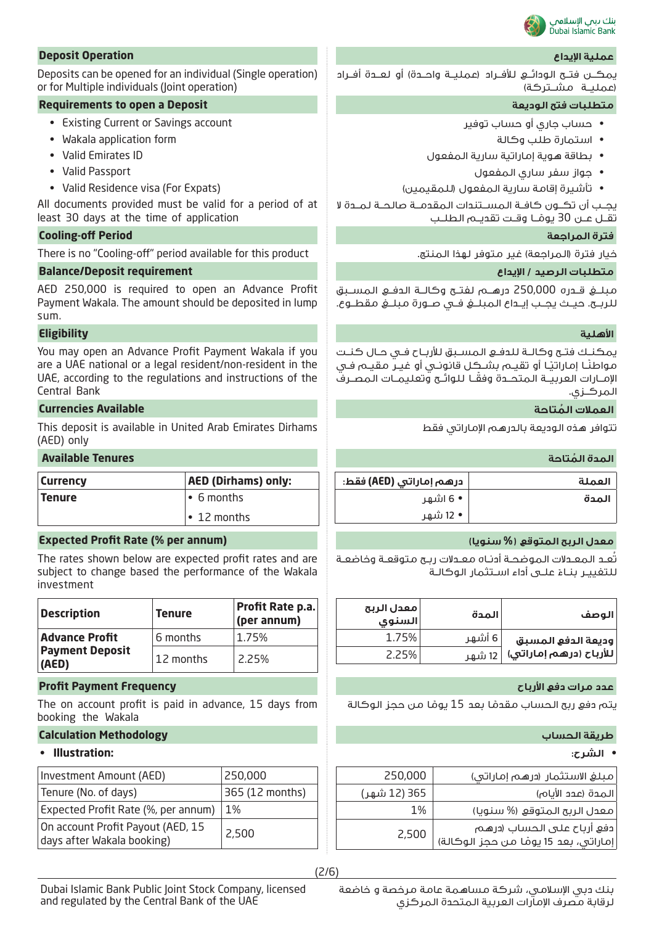

يمكـــن فتـــح الـودائـــع لـلأفــراد (عملـيــة واحـــدة) أو لـعــدة أفــراد )عمليــة مشــتركة(

- حساب جاري أو حساب توفير
	- استمارة طلب وكالة
- بطاقة هوية إماراتية سارية المفعول
	- جواز سفر ساري المفعول
- تأشيرة إقامة سارية المفعول )للمقيمين(

يجــب أن تكــون كافــة المســتندات المقدمــة صالحــة لمــدة ال تقــل عــن 30 يومًــا وقــت تقديــم الـطلــب ً

مبلــغ قــدره 250,000 درهــم لفتــح وكالــة الدفــع المســبق للربــح. حيــث يجــب إيــداع المبلــغ فــي صــورة مبلــغ مقطــوع.

يمكنــك فتــح وكالــة للدفــع المســبق لألربــاح فــي حــال كنــت مـواطنـًـا إمـاراتيـًـا أو تقيــم بشــكـِـل قانونــي أو غيــر مـقيــم فــي ً اإلمــارات العربيــة المتحــدة وفقــا للوائــح وتعليمــات المصــرف المركــزي.

تتوافر هذه الوديعة بالدرهم اإلماراتي فقط

| العملة | درهم إماراتي (AED) فقط: |
|--------|-------------------------|
| المدة  | • 6 اشهر                |
|        | • 12 شهر                |

تُعـد المعـدالت الموضحـة أدنـاه معـدالت ربـح متوقعـة وخاضعـة للتغييـر بنــاءُ علــى أداء اســتثمار الـوكالـة

| الوصف                           | المدة  | معدل الربح<br>السنوى |
|---------------------------------|--------|----------------------|
| وديعة الدفع المسبق              | 6 أشهر | 1.75%                |
| للأرباح (درهم إماراتي)   12 شهر |        | 2.25%                |

يتم دفع ربح الحساب مقدمًا بعد 15 يومًا من حجز الوكالة ً **ا** 

| مبلغ الاستثمار (درهم إماراتي)                                                      | 250,000      |
|------------------------------------------------------------------------------------|--------------|
| المدة (عدد الأيام)                                                                 | 365 (12 شهر) |
| معدل الربح المتوقع (% سنويا)                                                       | 1%           |
| دفع أرباح على الحساب (درهـه <sub>)</sub><br>إماراتي، بعد 15 يومًا مـن حجز الوكالة) | 2,500        |

### **عملية اإليداع Operation Deposit**

Deposits can be opened for an individual (Single operation) or for Multiple individuals (Joint operation)

### **Requirements to open a Deposit الوديعة فتح متطلبات**

- Existing Current or Savings account
- Wakala application form
- Valid Emirates ID
- Valid Passport
- Valid Residence visa (For Expats)

All documents provided must be valid for a period of at least 30 days at the time of application

### **Cooling-off Period المراجعة فترة**

There is no "Cooling-off" period available for this product .المنتج لهذا متوفر غير( المراجعة )فترة خيار

### **متطلبات الرصيد / اإليداع requirement Deposit/Balance**

AED 250,000 is required to open an Advance Profit Payment Wakala. The amount should be deposited in lump sum.

### **األهلية Eligibility**

You may open an Advance Profit Payment Wakala if you are a UAE national or a legal resident/non-resident in the UAE, according to the regulations and instructions of the Central Bank

### **ُ العمالت المتاحة Available Currencies**

This deposit is available in United Arab Emirates Dirhams (AED) only

### **ُ المدة المتاحة Tenures Available**

| Currencv | <b>AED (Dirhams) only:</b> |
|----------|----------------------------|
| Tenure   | $\cdot$ 6 months           |
|          | $\cdot$ 12 months          |

### **Expected Profit Rate (% per annum) )سنويا % )المتوقع الربح معدل**

The rates shown below are expected profit rates and are subject to change based the performance of the Wakala investment

| <b>Description</b>              | <b>Tenure</b> | Profit Rate p.a.<br>(per annum) |
|---------------------------------|---------------|---------------------------------|
| <b>Advance Profit</b>           | 6 months      | 1.75%                           |
| <b>Payment Deposit</b><br>(AED) | 12 months     | 2.25%                           |

### **عدد مرات دفع األرباح Frequency Payment Profit**

The on account profit is paid in advance, 15 days from booking the Wakala

### **طريقة الحساب Methodology Calculation**

### **• الشرح: :Illustration •**

| Investment Amount (AED)                                         | 250,000         |
|-----------------------------------------------------------------|-----------------|
| Tenure (No. of days)                                            | 365 (12 months) |
| Expected Profit Rate (%, per annum)                             | 1%              |
| On account Profit Payout (AED, 15<br>days after Wakala booking) | 2,500           |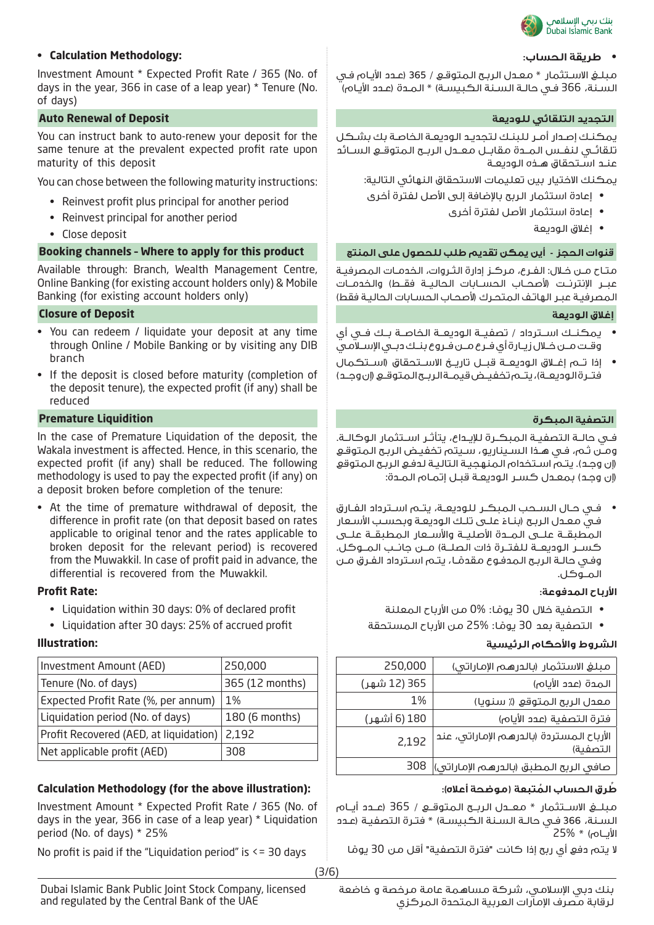

مبلـغ االسـتثمار \* معـدل الربـح المتوقـع / 365 )عـدد األيـام فـي السـنة، 366 فـي حالـة السـنة الكبيسـة( \* المـدة )عـدد األيـام(

يمكنـك إصـدار أمـر للبنـك لتجديـد الوديعـة الخاصـة بك بشـكل تلقائــي لنفــس المــدة مقابــل معــدل الربــح المتوقــع الســائد عنـد اسـتحقاق هـذه الوديعـة

يمكنك االختيار بين تعليمات االستحقاق النهائي التالية:

- إعادة استثمار الربح باإلضافة إلى األصل لفترة أخرى
	- إعادة استثمار األصل لفترة أخرى
		- إغالق الوديعة

متـاح مـن خـال: الفـرع، مركـز إدارة الثـروات، الخدمـات المصرفيـة عبــر الإنترنــت (لأصحــاب الحســابات الحاليــة فقــط) والخدمــات المصرفيـة عبـر الهاتـف المتحـرك (لأصحـاب الحسـابات الحاليـة فقط)

- يمكنــك اســترداد / تصفيــة الوديعــة الخاصــة بــك فــي أي وقــت مــن خــال زيــارة أي فــرع مــن فــروع بنــك دبــي اإلســامي
- إذا تــم إغــاق الوديعــة قبــل تاريــخ االســتحقاق )اســتكمال فتــرةالـوديعــة)، يتــم تخفيــض قيمــة الـربــح الـمتوقــع (إن وجــد)

فــي حالــة التصفيــة المبكــرة لإليــداع، يتأثــر اســتثمار الوكالــة. ومـن ثـم، فـي هـذا السـيناريو، سـيتم تخفيـض الربـح المتوقـع )إن وجـد(. يتـم اسـتخدام المنهجيـة التاليـة لدفـع الربـح المتوقع )إن وجـد( بمعـدل كسـر الوديعـة قبـل إتمـام المـدة:

• فــي حــال الســحب المبكــر للوديعــة، يتــم اســترداد الفــارق فـي معـدل الربـح (بنـاءُ علــى تلـك الوديعـة وبحسـب الأسـعار<br>. المطبقــة علــى المــدة األصليــة واألســعار المطبقــة علــى كســر الوديعــة للفتــرة ذات الصلــة) مــن جانــب المــوكل. وفـي حالـة الربـح الـمدفـوع مقدمَــا، يتـم اسـترداد الفـرق مـن<br>الـمــوكـل.

### **األرباح المدفوعة: :Rate Profit**

- التصفية خلال 30 يومًا: %0 من الأرباح المعلنة ً
- التصفية بعد 30 يومًا: %25 من الأرباح المستحقة ً

### **الشروط واألحكام الرئيسية :Illustration**

| 250,000      | مبلغ الاستثمار (بالدرهم الإماراتي)                   |
|--------------|------------------------------------------------------|
| 365 (12 شهر) | المدة (عدد الأياه)                                   |
| 1%           | معدل الربح المتوقع (٪ سنويا)                         |
| 180 (6 أشهر) | فترة التصفية (عدد الأيام)                            |
| 2,192        | الأرباح المستردة (بالدرهم الإماراتي، عند<br>التصفية) |
|              | صافي الربح المطبق (بالدرهم الإماراتي)  308           |

مبلــغ االســتثمار \* معــدل الربــح المتوقــع / 365 )عــدد أيــام السـنة، 366 فـي حالـة السـنة الكبيسـة) \* فتـرة التصفيـة (عـدد األيــام( \* 25%

لا يتم دفع أي ربح إذا كانت "فترة التصفية" أقل من 30 يومًا **ا** 

**• طريقة الحساب: :Methodology Calculation•**

Investment Amount \* Expected Profit Rate / 365 (No. of days in the year, 366 in case of a leap year) \* Tenure (No. of days)

### **Auto Renewal of Deposit للوديعة التلقائي التجديد**

You can instruct bank to auto-renew your deposit for the same tenure at the prevalent expected profit rate upon maturity of this deposit

You can chose between the following maturity instructions:

- Reinvest profit plus principal for another period
- Reinvest principal for another period
- Close deposit

### **قنوات الحجز - أين يمكن تقديم طلب للحصول على المنتج product this for apply to Where – channels Booking**

Available through: Branch, Wealth Management Centre, Online Banking (for existing account holders only) & Mobile Banking (for existing account holders only)

### **Closure of Deposit الوديعة إغالق**

- You can redeem / liquidate your deposit at any time through Online / Mobile Banking or by visiting any DIB branch
- If the deposit is closed before maturity (completion of the deposit tenure), the expected profit (if any) shall be reduced

### **التصفية المبكرة Liquidition Premature**

In the case of Premature Liquidation of the deposit, the Wakala investment is affected. Hence, in this scenario, the expected profit (if any) shall be reduced. The following methodology is used to pay the expected profit (if any) on a deposit broken before completion of the tenure:

• At the time of premature withdrawal of deposit, the difference in profit rate (on that deposit based on rates applicable to original tenor and the rates applicable to broken deposit for the relevant period) is recovered from the Muwakkil. In case of profit paid in advance, the differential is recovered from the Muwakkil.

- Liquidation within 30 days: 0% of declared profit
- Liquidation after 30 days: 25% of accrued profit

| Investment Amount (AED)                | 250,000         |
|----------------------------------------|-----------------|
| Tenure (No. of days)                   | 365 (12 months) |
| Expected Profit Rate (%, per annum)    | $1\%$           |
| Liquidation period (No. of days)       | 180 (6 months)  |
| Profit Recovered (AED, at liquidation) | 2,192           |
| Net applicable profit (AED)            | 308             |

### **ُط ُ رق الحساب المتبعة )موضحة أعاله(: :(illustration above the for (Methodology Calculation**

Investment Amount \* Expected Profit Rate / 365 (No. of days in the year, 366 in case of a leap year) \* Liquidation period (No. of days) \* 25%

No profit is paid if the "Liquidation period" is  $\leq$  30 days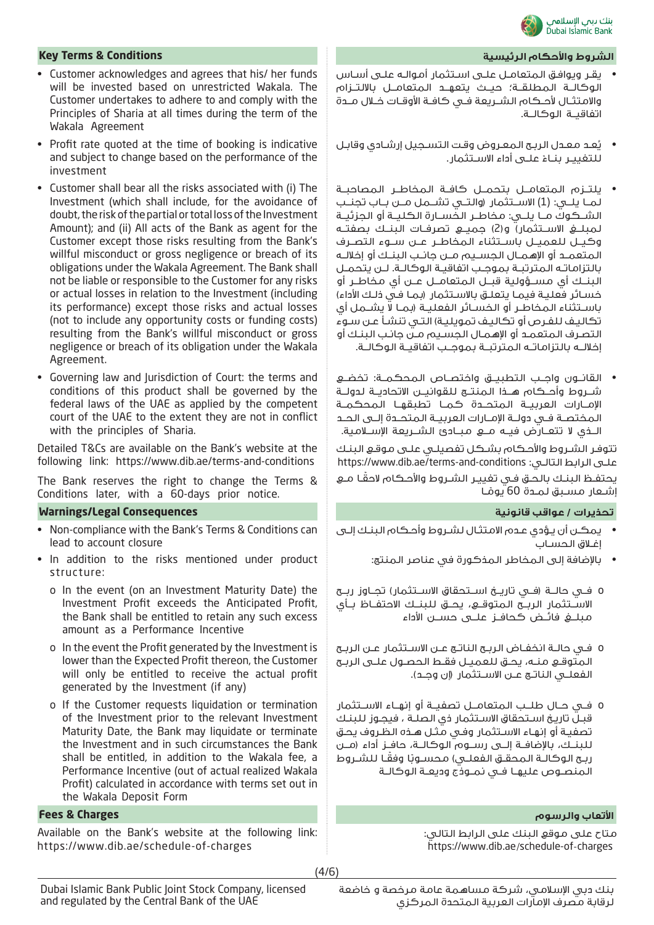

### **الشروط واألحكام الرئيسية Conditions & Terms Key**

- يقـر ويوافـق المتعامـل علـى اسـتثمار أموالـه علـى أسـاس الوكالــة المطلقــة؛ حيــث يتعهــد المتعامــل بااللتــزام واالمتثــال ألحــكام الشــريعة فــي كافــة األوقــات خــال مــدة اتفاقيــة الوكالــة.
- ُعـد معـدل الربـح المعـروض وقـت التسـجيل إرشـادي وقابـل ي للتغييـر بنــاءُ علــى أداء الاســتثمار.<br>-
- يلتــزم المتعامــل بتحمــل كافــة المخاطــر المصاحبــة لمــا يلــي: )1( االســتثمار )والتــي تشــمل مــن بــاب تجنــب الشــكوك مــا يلــي: مخاطــر الخســارة الكليــة أو الجزئيــة لمبلــغ االســتثمار( و)2( جميــع تصرفــات البنــك بصفتــه وكيــل للعميــل باســتثناء المخاطــر عــن ســوء التصــرف المتعمــد أو اإلهمــال الجســيم مــن جانــب البنــك أو إخاللــه بالتزاماتــه المترتبــة بموجــب اتفاقيــة الوكالــة. لــن يتحمــل البنــك أي مســؤولية قبــل المتعامــل عــن أي مخاطــر أو خسـائر فعليـة فيمـا يتعلـق بالاسـتثمار (بمـا فـي ذلـك الأداء) باســتثناء المخاطــر أو الخســائر الفعليــة )بمــا ال يشــمل أي تكاليـف للفـرص أو تكاليـف تمويليـة) التـي تنشـأ عـن سـوء التصـرف المتعمـد أو اإلهمـال الجسـيم مـن جانـب البنـك أو إخاللــه بالتزاماتــه المترتبــة بموجــب اتفاقيــة الوكالــة.
- القانــون واجــب التطبيــق واختصــاص المحكمــة: تخضــع شــروط وأحــكام هــذا المنتــج للقوانيــن االتحاديــة لدولــة اإلمــارات العربيــة المتحــدة كمــا تطبقهــا المحكمــة المختصــة فــي دولــة اإلمــارات العربيــة المتحــدة إلــى الحــد الــذي لا تتعــارض فيــه مــع مبــادئ الشــريعة الإســلامية.

تتوفـر الشـروط واألحـكام بشـكل تفصيلـي علـى موقـع البنـك https://www.dib.ae/terms-and-conditions :التالـي الرابط علـى

ً يحتفـظ البنـك بالحـق فـي تغييـر الشـروط واألحـكام الحقـا مـع ِشـعار مسـبق لمـدة 60 يومًـا **ا** 

- يمكـن أن يـؤدي عـدم االمتثـال لشـروط وأحـكام البنـك إلـى إغـاق الحسـاب
	- باإلضافة إلى المخاطر المذكورة في عناصر المنتج:
- o فــي حالــة )فــي تاريــخ اســتحقاق االســتثمار( تجــاوز ربــح االســتثمار الربــح المتوقــع، يحــق للبنــك االحتفــاظ بــأي مبلــغ فائــض كحافــز علــى حســن األداء
- o فــي حالــة انخفــاض الربــح الناتــج عــن االســتثمار عــن الربــح المتوقــع منــه، يحــق للعميــل فقــط الحصــول علــى الربــح الفعلــي الناتــج عــن الاســتثمار (إن وجــد).
- o فــي حــال طلــب المتعامــل تصفيــة أو إنهــاء االســتثمار قبـل تاريـخ اسـتحقاق االسـتثمار ذي الصلـة ، فيجـوز للبنـك تصفيـة أو إنهـاء االسـتثمار وفـي مثـل هـذه الظـروف يحـق للبنــك، باإلضافــة إلــى رســوم الوكالــة، حافــز أداء )مــن ربـح الوكالـة المحقـق الفعلـي) محسـوبًا وفقـا للشـروط المنصــوص عليهــا فــي نمــوذج وديعــة الوكالــة

متاح على موقع البنك على الرابط التالي: https://www.dib.ae/schedule-of-charges

- Customer acknowledges and agrees that his/ her funds will be invested based on unrestricted Wakala. The Customer undertakes to adhere to and comply with the Principles of Sharia at all times during the term of the Wakala Agreement
- Profit rate quoted at the time of booking is indicative and subject to change based on the performance of the investment
- Customer shall bear all the risks associated with (i) The Investment (which shall include, for the avoidance of doubt, the risk of the partial or total loss of the Investment Amount); and (ii) All acts of the Bank as agent for the Customer except those risks resulting from the Bank's willful misconduct or gross negligence or breach of its obligations under the Wakala Agreement. The Bank shall not be liable or responsible to the Customer for any risks or actual losses in relation to the Investment (including its performance) except those risks and actual losses (not to include any opportunity costs or funding costs) resulting from the Bank's willful misconduct or gross negligence or breach of its obligation under the Wakala Agreement.
- Governing law and Jurisdiction of Court: the terms and conditions of this product shall be governed by the federal laws of the UAE as applied by the competent court of the UAE to the extent they are not in conflict with the principles of Sharia.

Detailed T&Cs are available on the Bank's website at the following link: https://www.dib.ae/terms-and-conditions

The Bank reserves the right to change the Terms & Conditions later, with a 60-days prior notice.

### **تحذيرات / عواقب قانونية Consequences Legal/Warnings**

- Non-compliance with the Bank's Terms & Conditions can lead to account closure
- In addition to the risks mentioned under product structure:
	- o In the event (on an Investment Maturity Date) the Investment Profit exceeds the Anticipated Profit, the Bank shall be entitled to retain any such excess amount as a Performance Incentive
	- o In the event the Profit generated by the Investment is lower than the Expected Profit thereon, the Customer will only be entitled to receive the actual profit generated by the Investment (if any)
	- o If the Customer requests liquidation or termination of the Investment prior to the relevant Investment Maturity Date, the Bank may liquidate or terminate the Investment and in such circumstances the Bank shall be entitled, in addition to the Wakala fee, a Performance Incentive (out of actual realized Wakala Profit) calculated in accordance with terms set out in the Wakala Deposit Form

### **األتعاب والرسوم Charges & Fees**

Available on the Bank's website at the following link: https://www.dib.ae/schedule-of-charges

(4/6)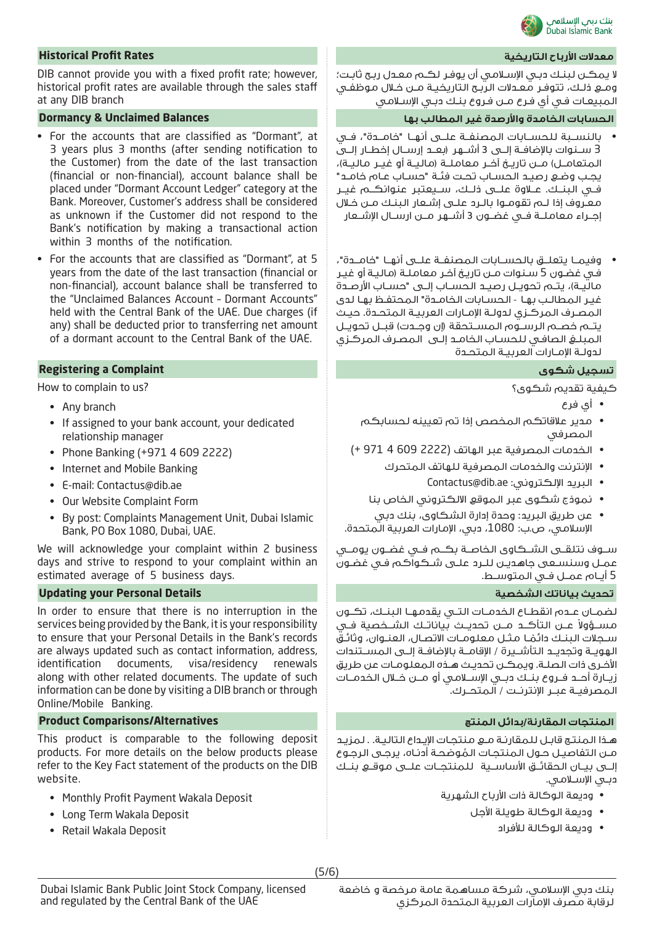

### **معدالت األرباح التاريخية Rates Profit Historical**

ال يمكـن لبنـك دبـي اإلسـامي أن يوفـر لكـم معـدل ربـح ثابـت؛ ومـع ذلـك، تتوفـر معـدالت الربـح التاريخيـة مـن خـال موظفـي المبيعـات فـي أي فـرع مـن فـروع بنـك دبـي اإلسـامي

### **الحسابات الخامدة واألرصدة غير المطالب بها Balances Unclaimed & Dormancy**

- بالنســبة للحســابات المصنفــة علــى أنهــا "خامــدة"، فــي 3 ســنوات بالإضافــة إلـــى 3 أشـــهر (بعــد إرســال إخطــار إلــــى المتعامــل) مــن تاريــخ آخــر معاملــة (ماليــة أو غيــر ماليــة)، يجـب وضـع رصيـد الحسـاب تحـت فئـة "حسـاب عـام خامـد" فــي البنــك. عــاوة علــى ذلــك، ســيعتبر عنوانكــم غيــر معـروف إذا لـم تقومـوا بالـرد علـى إشـعار البنـك مـن خـال إجــراء معاملــة فــي غضــون 3 أشــهر مــن ارســال اإلشــعار
- وفيمــا يتعلــق بالحســابات المصنفــة علــى أنهــا "خامــدة"، فـي غضـون 5 سـنوات مـن تاريـخ آخـر معاملـة )ماليـة أو غيـر ماليــة)، يتــم تحويــل رصيــد الـحســاب إلـــى "حســاب الأرصــدة غيـر المطالـب بهـا - الحسـابات الخامـدة" المحتفـظ بهـا لدى المصـرف المركـزي لدولـة اإلمـارات العربيـة المتحـدة. حيـث يتــم خصــم الـرســوم الـمســتحقة (إن وجــدت) قبــل تحويــل المبلـغ الصافـي للحسـاب الخامـد إلـى المصـرف المركـزي لدولـة اإلمـارات العربيـة المتحـدة

كيفية تقديم شكوى؟

- أي فرع
- مدير عالقاتكم المخصص إذا تم تعيينه لحسابكم المصرفي
- الخدمات المصرفية عبر الهاتف )2222 609 4 971 +(
	- اإلنترنت والخدمات المصرفية للهاتف المتحرك
		- Contactus@dib.ae :اإللكتروني البريد•
	- نموذج شكوى عبر الموقع االلكتروني الخاص بنا
- عن طريق البريد: وحدة إدارة الشكاوى، بنك دبي اإلسالمي، ص.ب: ،1080 دبي، اإلمارات العربية المتحدة.

ســوف نتلقــى الشــكاوى الخاصــة بكــم فــي غضــون يومــي عمـل وسنسـعى جاهديـن للـرد علـى شـكواكم فـي غضـون 5 أيــام عمــل فــي المتوســط.

لضمــان عــدم انقطــاع الخدمــات التــي يقدمهــا البنــك، تكــون مســؤولاً عـــن الـتأكـــد مـــن تحديـــث بـياناتــك الشــخصية فــي ســجلات الـبـنـك دائمـَــا مـثــل مـعلـومــات الاتصــال، الـعـنــوان، وثائــقُ<br>الـهويــة وتجديــد الـتأشـــيرة / الإقامــة بالإضافــة إلـــى المســـتندات األخـرى ذات الصلـة. ويمكـن تحديـث هـذه المعلومـات عن طريق زيــارة أحــد فــروع بنــك دبــي اإلســامي أو مــن خــال الخدمــات المصرفيــة عبــر اإلنترنــت / المتحــرك.

هـذا المنتـج قابـل للمقارنـة مـع منتجـات اإليـداع التاليـة. . لمزيـد مــن الـتفاصيــل حــول الـمـنـتجـات الـمُوضحـة أدنــاه، يرجــى الـرجــوع<br>الــــى بـــــان الحقائــق الأساســـــة لـلـمنتحــات علـــى مـوقــع بـنــك دبـي اإلسـامي.

- وديعة الوكالة ذات األرباح الشهرية
	- وديعة الوكالة طويلة األجل
		- وديعة الوكالة لألفراد

DIB cannot provide you with a fixed profit rate; however, historical profit rates are available through the sales staff at any DIB branch

- For the accounts that are classified as "Dormant", at 3 years plus 3 months (after sending notification to the Customer) from the date of the last transaction (financial or non-financial), account balance shall be placed under "Dormant Account Ledger" category at the Bank. Moreover, Customer's address shall be considered as unknown if the Customer did not respond to the Bank's notification by making a transactional action within 3 months of the notification.
- For the accounts that are classified as "Dormant", at 5 years from the date of the last transaction (financial or non-financial), account balance shall be transferred to the "Unclaimed Balances Account – Dormant Accounts" held with the Central Bank of the UAE. Due charges (if any) shall be deducted prior to transferring net amount of a dormant account to the Central Bank of the UAE.

### **Registering a Complaint شكوى تسجيل**

How to complain to us?

- Any branch
- If assigned to your bank account, your dedicated relationship manager
- Phone Banking (+971 4 609 2222)
- Internet and Mobile Banking
- E-mail: Contactus@dib.ae
- Our Website Complaint Form
- By post: Complaints Management Unit, Dubai Islamic Bank, PO Box 1080, Dubai, UAE.

We will acknowledge your complaint within 2 business days and strive to respond to your complaint within an estimated average of 5 business days.

### **Updating your Personal Details الشخصية بياناتك تحديث**

In order to ensure that there is no interruption in the services being provided by the Bank, it is your responsibility to ensure that your Personal Details in the Bank's records are always updated such as contact information, address, identification documents, visa/residency renewals along with other related documents. The update of such information can be done by visiting a DIB branch or through Online/Mobile Banking.

### **المنتجات المقارنة/بدائل المنتج Alternatives/Comparisons Product**

This product is comparable to the following deposit products. For more details on the below products please refer to the Key Fact statement of the products on the DIB website.

- Monthly Profit Payment Wakala Deposit
- Long Term Wakala Deposit
- Retail Wakala Deposit